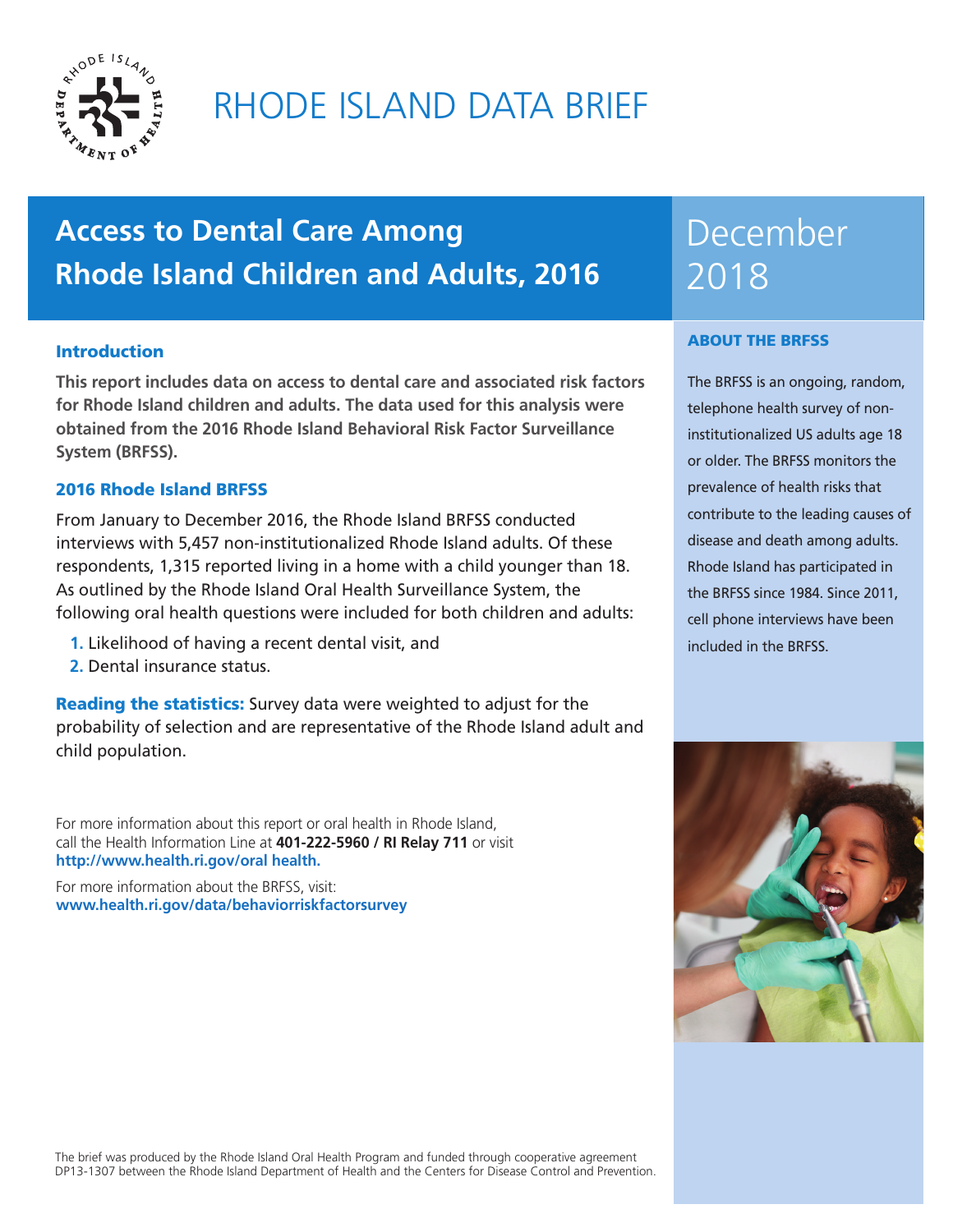

# RHODE ISLAND DATA BRIEF

# **Access to Dental Care Among Rhode Island Children and Adults, 2016**

## **Introduction**

**This report includes data on access to dental care and associated risk factors for Rhode Island children and adults. The data used for this analysis were obtained from the 2016 Rhode Island Behavioral Risk Factor Surveillance System (BRFSS).** 

## 2016 Rhode Island BRFSS

From January to December 2016, the Rhode Island BRFSS conducted interviews with 5,457 non-institutionalized Rhode Island adults. Of these respondents, 1,315 reported living in a home with a child younger than 18. As outlined by the Rhode Island Oral Health Surveillance System, the following oral health questions were included for both children and adults:

- **1.** Likelihood of having a recent dental visit, and
- **2.** Dental insurance status.

**Reading the statistics:** Survey data were weighted to adjust for the probability of selection and are representative of the Rhode Island adult and child population.

For more information about this report or oral health in Rhode Island, call the Health Information Line at **401-222-5960 / RI Relay 711** or visit **http://www.health.ri.gov/oral health.** 

For more information about the BRFSS, visit: **www.health.ri.gov/data/behaviorriskfactorsurvey**

# December 2018

#### ABOUT THE BRFSS

The BRFSS is an ongoing, random, telephone health survey of noninstitutionalized US adults age 18 or older. The BRFSS monitors the prevalence of health risks that contribute to the leading causes of disease and death among adults. Rhode Island has participated in the BRFSS since 1984. Since 2011, cell phone interviews have been included in the BRFSS.



The brief was produced by the Rhode Island Oral Health Program and funded through cooperative agreement DP13-1307 between the Rhode Island Department of Health and the Centers for Disease Control and Prevention.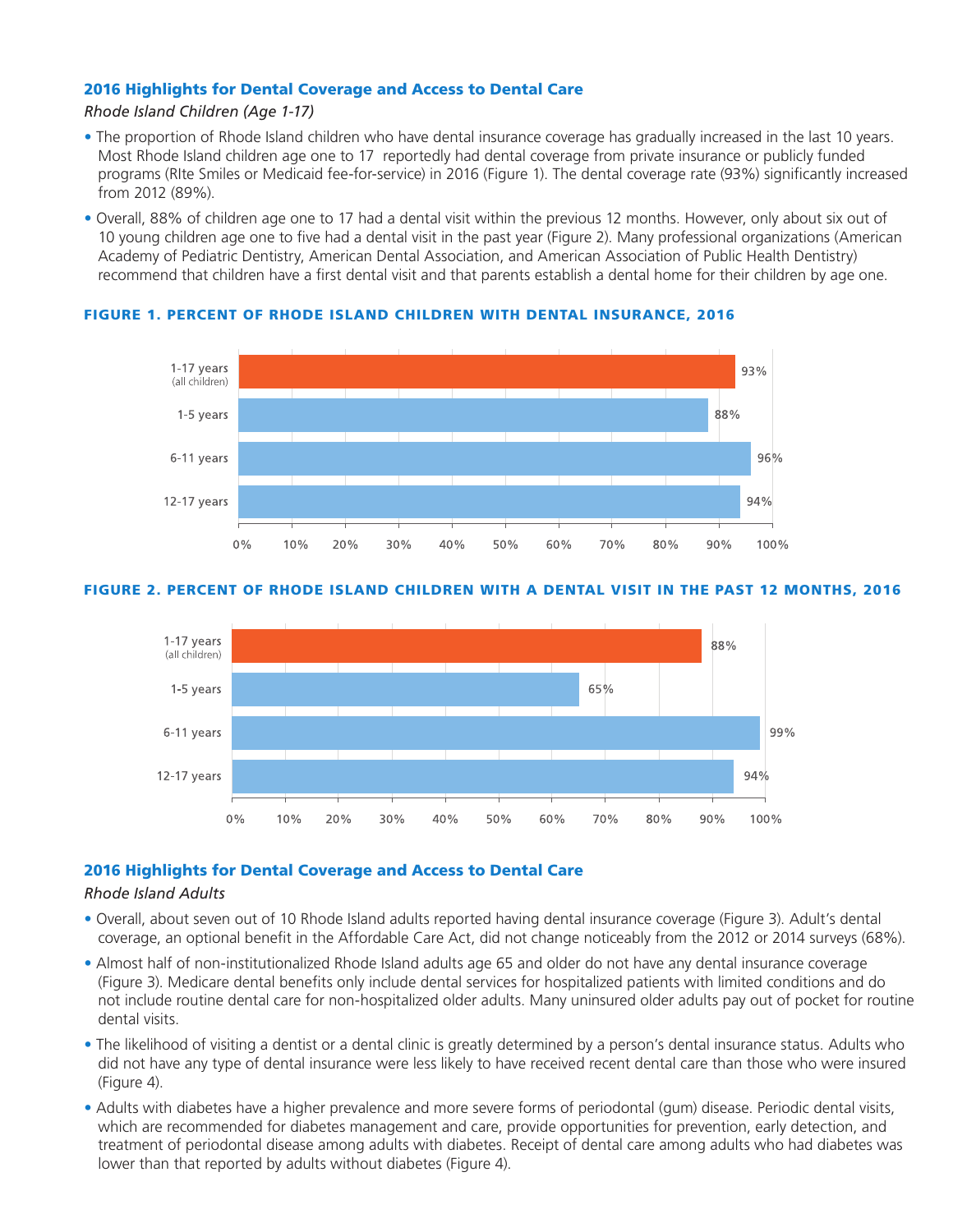### 2016 Highlights for Dental Coverage and Access to Dental Care

#### *Rhode Island Children (Age 1-17)*

- The proportion of Rhode Island children who have dental insurance coverage has gradually increased in the last 10 years. Most Rhode Island children age one to 17 reportedly had dental coverage from private insurance or publicly funded programs (RIte Smiles or Medicaid fee-for-service) in 2016 (Figure 1). The dental coverage rate (93%) significantly increased from 2012 (89%).
- Overall, 88% of children age one to 17 had a dental visit within the previous 12 months. However, only about six out of 10 young children age one to five had a dental visit in the past year (Figure 2). Many professional organizations (American Academy of Pediatric Dentistry, American Dental Association, and American Association of Public Health Dentistry) recommend that children have a first dental visit and that parents establish a dental home for their children by age one.



#### FIGURE 1. PERCENT OF RHODE ISLAND CHILDREN WITH DENTAL INSURANCE, 2016

#### FIGURE 2. PERCENT OF RHODE ISLAND CHILDREN WITH A DENTAL VISIT IN THE PAST 12 MONTHS, 2016



#### 2016 Highlights for Dental Coverage and Access to Dental Care

#### *Rhode Island Adults*

- Overall, about seven out of 10 Rhode Island adults reported having dental insurance coverage (Figure 3). Adult's dental coverage, an optional benefit in the Affordable Care Act, did not change noticeably from the 2012 or 2014 surveys (68%).
- Almost half of non-institutionalized Rhode Island adults age 65 and older do not have any dental insurance coverage (Figure 3). Medicare dental benefits only include dental services for hospitalized patients with limited conditions and do not include routine dental care for non-hospitalized older adults. Many uninsured older adults pay out of pocket for routine dental visits.
- The likelihood of visiting a dentist or a dental clinic is greatly determined by a person's dental insurance status. Adults who did not have any type of dental insurance were less likely to have received recent dental care than those who were insured (Figure 4).
- Adults with diabetes have a higher prevalence and more severe forms of periodontal (gum) disease. Periodic dental visits, which are recommended for diabetes management and care, provide opportunities for prevention, early detection, and treatment of periodontal disease among adults with diabetes. Receipt of dental care among adults who had diabetes was lower than that reported by adults without diabetes (Figure 4).